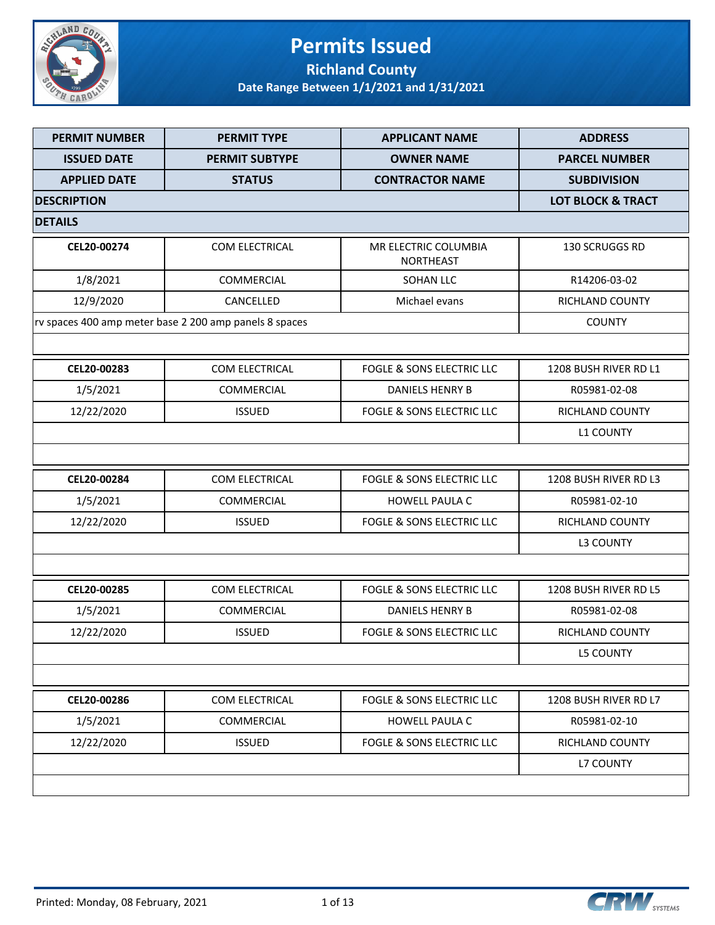

### **Permits Issued Richland County**

| <b>PERMIT NUMBER</b> | <b>PERMIT TYPE</b>                                     | <b>APPLICANT NAME</b>                | <b>ADDRESS</b>        |  |  |
|----------------------|--------------------------------------------------------|--------------------------------------|-----------------------|--|--|
| <b>ISSUED DATE</b>   | <b>PERMIT SUBTYPE</b>                                  | <b>OWNER NAME</b>                    | <b>PARCEL NUMBER</b>  |  |  |
| <b>APPLIED DATE</b>  | <b>STATUS</b>                                          | <b>CONTRACTOR NAME</b>               | <b>SUBDIVISION</b>    |  |  |
| <b>DESCRIPTION</b>   |                                                        |                                      |                       |  |  |
| <b>DETAILS</b>       |                                                        |                                      |                       |  |  |
| CEL20-00274          | COM ELECTRICAL                                         | MR ELECTRIC COLUMBIA<br>NORTHEAST    | 130 SCRUGGS RD        |  |  |
| 1/8/2021             | COMMERCIAL                                             | <b>SOHAN LLC</b>                     | R14206-03-02          |  |  |
| 12/9/2020            | CANCELLED                                              | Michael evans                        | RICHLAND COUNTY       |  |  |
|                      | rv spaces 400 amp meter base 2 200 amp panels 8 spaces |                                      | <b>COUNTY</b>         |  |  |
|                      |                                                        |                                      |                       |  |  |
| CEL20-00283          | <b>COM ELECTRICAL</b>                                  | <b>FOGLE &amp; SONS ELECTRIC LLC</b> | 1208 BUSH RIVER RD L1 |  |  |
| 1/5/2021             | COMMERCIAL                                             | <b>DANIELS HENRY B</b>               | R05981-02-08          |  |  |
| 12/22/2020           | <b>ISSUED</b>                                          | <b>FOGLE &amp; SONS ELECTRIC LLC</b> | RICHLAND COUNTY       |  |  |
|                      |                                                        |                                      | <b>L1 COUNTY</b>      |  |  |
|                      |                                                        |                                      |                       |  |  |
| CEL20-00284          | <b>COM ELECTRICAL</b>                                  | <b>FOGLE &amp; SONS ELECTRIC LLC</b> | 1208 BUSH RIVER RD L3 |  |  |
| 1/5/2021             | COMMERCIAL                                             | <b>HOWELL PAULA C</b>                | R05981-02-10          |  |  |
| 12/22/2020           | <b>ISSUED</b>                                          | FOGLE & SONS ELECTRIC LLC            | RICHLAND COUNTY       |  |  |
|                      |                                                        |                                      | <b>L3 COUNTY</b>      |  |  |
|                      |                                                        |                                      |                       |  |  |
| CEL20-00285          | COM ELECTRICAL                                         | FOGLE & SONS ELECTRIC LLC            | 1208 BUSH RIVER RD L5 |  |  |
| 1/5/2021             | COMMERCIAL                                             | DANIELS HENRY B                      | R05981-02-08          |  |  |
| 12/22/2020           | <b>ISSUED</b>                                          | <b>FOGLE &amp; SONS ELECTRIC LLC</b> | RICHLAND COUNTY       |  |  |
|                      |                                                        |                                      | <b>L5 COUNTY</b>      |  |  |
|                      |                                                        |                                      |                       |  |  |
| CEL20-00286          | COM ELECTRICAL                                         | <b>FOGLE &amp; SONS ELECTRIC LLC</b> | 1208 BUSH RIVER RD L7 |  |  |
| 1/5/2021             | COMMERCIAL                                             | <b>HOWELL PAULA C</b>                | R05981-02-10          |  |  |
| 12/22/2020           | <b>ISSUED</b>                                          | <b>FOGLE &amp; SONS ELECTRIC LLC</b> | RICHLAND COUNTY       |  |  |
|                      |                                                        |                                      | <b>L7 COUNTY</b>      |  |  |
|                      |                                                        |                                      |                       |  |  |



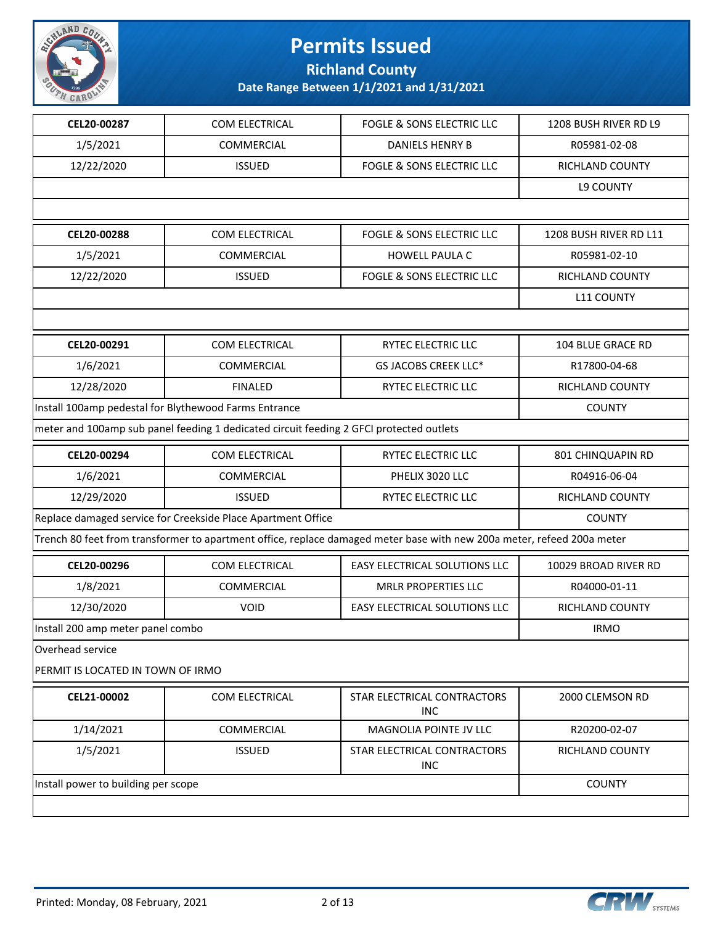

**Richland County**

| CEL20-00287                       | COM ELECTRICAL                                                                          | <b>FOGLE &amp; SONS ELECTRIC LLC</b>                                                                                   | 1208 BUSH RIVER RD L9  |  |
|-----------------------------------|-----------------------------------------------------------------------------------------|------------------------------------------------------------------------------------------------------------------------|------------------------|--|
| 1/5/2021                          | COMMERCIAL                                                                              | <b>DANIELS HENRY B</b>                                                                                                 | R05981-02-08           |  |
| 12/22/2020                        | <b>ISSUED</b>                                                                           | <b>FOGLE &amp; SONS ELECTRIC LLC</b>                                                                                   | RICHLAND COUNTY        |  |
|                                   |                                                                                         |                                                                                                                        | <b>L9 COUNTY</b>       |  |
|                                   |                                                                                         |                                                                                                                        |                        |  |
| CEL20-00288                       | COM ELECTRICAL                                                                          | <b>FOGLE &amp; SONS ELECTRIC LLC</b>                                                                                   | 1208 BUSH RIVER RD L11 |  |
| 1/5/2021                          | COMMERCIAL                                                                              | <b>HOWELL PAULA C</b>                                                                                                  | R05981-02-10           |  |
| 12/22/2020                        | <b>ISSUED</b>                                                                           | <b>FOGLE &amp; SONS ELECTRIC LLC</b>                                                                                   | RICHLAND COUNTY        |  |
|                                   |                                                                                         |                                                                                                                        | <b>L11 COUNTY</b>      |  |
|                                   |                                                                                         |                                                                                                                        |                        |  |
| CEL20-00291                       | COM ELECTRICAL                                                                          | RYTEC ELECTRIC LLC                                                                                                     | 104 BLUE GRACE RD      |  |
| 1/6/2021                          | <b>COMMERCIAL</b>                                                                       | <b>GS JACOBS CREEK LLC*</b>                                                                                            | R17800-04-68           |  |
| 12/28/2020                        | <b>FINALED</b>                                                                          | <b>RYTEC ELECTRIC LLC</b>                                                                                              | RICHLAND COUNTY        |  |
|                                   | Install 100amp pedestal for Blythewood Farms Entrance                                   |                                                                                                                        | <b>COUNTY</b>          |  |
|                                   | meter and 100amp sub panel feeding 1 dedicated circuit feeding 2 GFCI protected outlets |                                                                                                                        |                        |  |
| CEL20-00294                       | COM ELECTRICAL                                                                          | RYTEC ELECTRIC LLC                                                                                                     | 801 CHINQUAPIN RD      |  |
| 1/6/2021                          | <b>COMMERCIAL</b>                                                                       | PHELIX 3020 LLC                                                                                                        | R04916-06-04           |  |
| 12/29/2020                        | <b>ISSUED</b>                                                                           | RYTEC ELECTRIC LLC                                                                                                     | RICHLAND COUNTY        |  |
|                                   | Replace damaged service for Creekside Place Apartment Office                            |                                                                                                                        | <b>COUNTY</b>          |  |
|                                   |                                                                                         | Trench 80 feet from transformer to apartment office, replace damaged meter base with new 200a meter, refeed 200a meter |                        |  |
| CEL20-00296                       | COM ELECTRICAL                                                                          | EASY ELECTRICAL SOLUTIONS LLC                                                                                          | 10029 BROAD RIVER RD   |  |
| 1/8/2021                          | COMMERCIAL                                                                              | <b>MRLR PROPERTIES LLC</b>                                                                                             | R04000-01-11           |  |
| 12/30/2020                        | <b>VOID</b>                                                                             | <b>EASY ELECTRICAL SOLUTIONS LLC</b>                                                                                   | RICHLAND COUNTY        |  |
| Install 200 amp meter panel combo |                                                                                         |                                                                                                                        | <b>IRMO</b>            |  |
| Overhead service                  |                                                                                         |                                                                                                                        |                        |  |
| PERMIT IS LOCATED IN TOWN OF IRMO |                                                                                         |                                                                                                                        |                        |  |
| CEL21-00002                       | COM ELECTRICAL                                                                          | STAR ELECTRICAL CONTRACTORS<br><b>INC</b>                                                                              | 2000 CLEMSON RD        |  |
| 1/14/2021                         | COMMERCIAL                                                                              | MAGNOLIA POINTE JV LLC                                                                                                 | R20200-02-07           |  |
| 1/5/2021                          | <b>ISSUED</b>                                                                           | STAR ELECTRICAL CONTRACTORS<br><b>INC</b>                                                                              | RICHLAND COUNTY        |  |
|                                   | Install power to building per scope                                                     |                                                                                                                        |                        |  |
|                                   |                                                                                         |                                                                                                                        |                        |  |

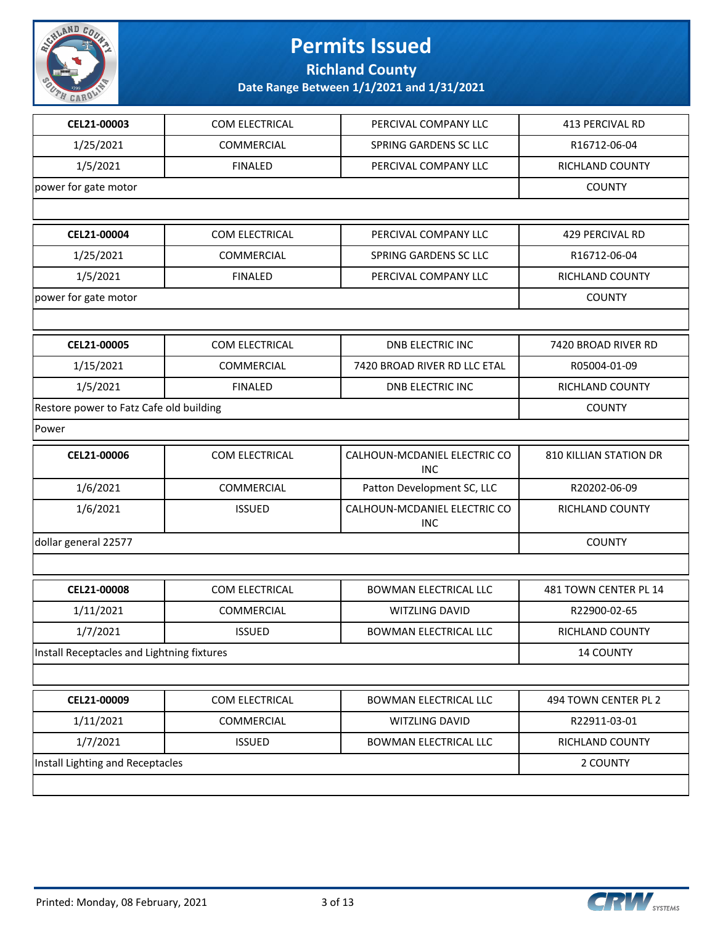

**Richland County Date Range Between 1/1/2021 and 1/31/2021**

| CEL21-00003                                | COM ELECTRICAL        | PERCIVAL COMPANY LLC                       | 413 PERCIVAL RD               |
|--------------------------------------------|-----------------------|--------------------------------------------|-------------------------------|
| 1/25/2021                                  | COMMERCIAL            | SPRING GARDENS SC LLC                      | R16712-06-04                  |
| 1/5/2021                                   | <b>FINALED</b>        | PERCIVAL COMPANY LLC                       | <b>RICHLAND COUNTY</b>        |
| power for gate motor                       |                       |                                            | <b>COUNTY</b>                 |
|                                            |                       |                                            |                               |
| CEL21-00004                                | COM ELECTRICAL        | PERCIVAL COMPANY LLC                       | 429 PERCIVAL RD               |
| 1/25/2021                                  | COMMERCIAL            | SPRING GARDENS SC LLC                      | R16712-06-04                  |
| 1/5/2021                                   | <b>FINALED</b>        | PERCIVAL COMPANY LLC                       | <b>RICHLAND COUNTY</b>        |
| power for gate motor                       |                       |                                            | <b>COUNTY</b>                 |
|                                            |                       |                                            |                               |
| CEL21-00005                                | COM ELECTRICAL        | <b>DNB ELECTRIC INC</b>                    | 7420 BROAD RIVER RD           |
| 1/15/2021                                  | COMMERCIAL            | 7420 BROAD RIVER RD LLC ETAL               | R05004-01-09                  |
| 1/5/2021                                   | <b>FINALED</b>        | <b>DNB ELECTRIC INC</b>                    | RICHLAND COUNTY               |
| Restore power to Fatz Cafe old building    |                       |                                            | <b>COUNTY</b>                 |
| Power                                      |                       |                                            |                               |
| CEL21-00006                                | COM ELECTRICAL        | CALHOUN-MCDANIEL ELECTRIC CO<br><b>INC</b> | <b>810 KILLIAN STATION DR</b> |
| 1/6/2021                                   | COMMERCIAL            | Patton Development SC, LLC                 | R20202-06-09                  |
| 1/6/2021                                   | <b>ISSUED</b>         | CALHOUN-MCDANIEL ELECTRIC CO<br><b>INC</b> | <b>RICHLAND COUNTY</b>        |
| dollar general 22577                       |                       |                                            | <b>COUNTY</b>                 |
|                                            |                       |                                            |                               |
| CEL21-00008                                | <b>COM ELECTRICAL</b> | <b>BOWMAN ELECTRICAL LLC</b>               | 481 TOWN CENTER PL 14         |
| 1/11/2021                                  | COMMERCIAL            | <b>WITZLING DAVID</b>                      | R22900-02-65                  |
| 1/7/2021                                   | <b>ISSUED</b>         | <b>BOWMAN ELECTRICAL LLC</b>               | RICHLAND COUNTY               |
| Install Receptacles and Lightning fixtures |                       |                                            | <b>14 COUNTY</b>              |
|                                            |                       |                                            |                               |
| CEL21-00009                                | COM ELECTRICAL        | <b>BOWMAN ELECTRICAL LLC</b>               | 494 TOWN CENTER PL 2          |
| 1/11/2021                                  | COMMERCIAL            | <b>WITZLING DAVID</b>                      | R22911-03-01                  |
| 1/7/2021                                   | <b>ISSUED</b>         | <b>BOWMAN ELECTRICAL LLC</b>               | RICHLAND COUNTY               |
| Install Lighting and Receptacles           |                       |                                            | 2 COUNTY                      |
|                                            |                       |                                            |                               |

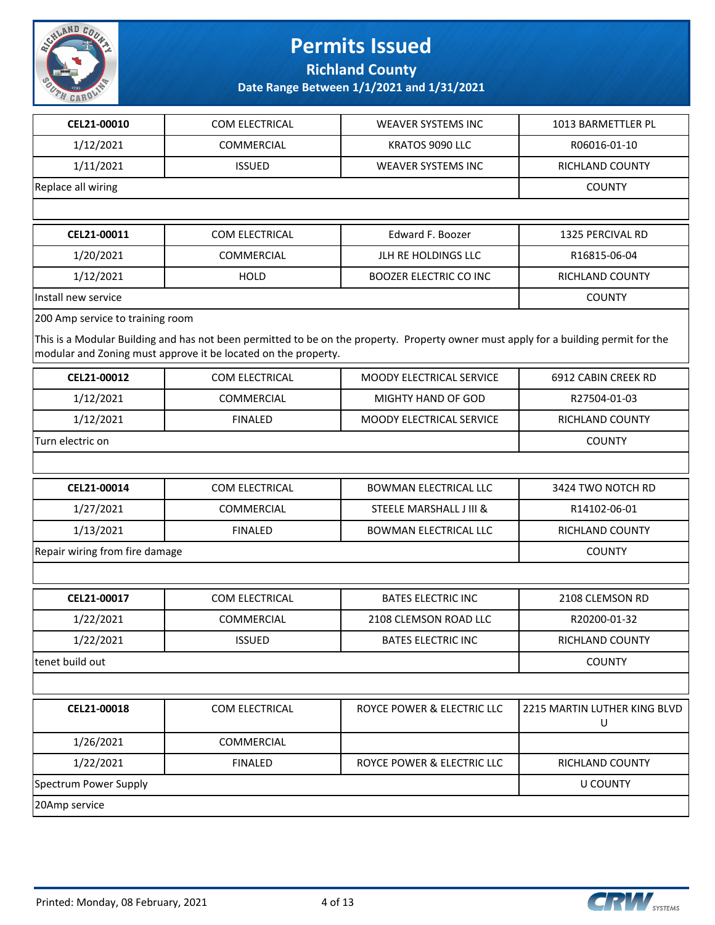

**Richland County**

| CEL21-00010                      | COM ELECTRICAL                                                 | <b>WEAVER SYSTEMS INC</b>                                                                                                            | 1013 BARMETTLER PL                |
|----------------------------------|----------------------------------------------------------------|--------------------------------------------------------------------------------------------------------------------------------------|-----------------------------------|
| 1/12/2021                        | <b>COMMERCIAL</b>                                              | KRATOS 9090 LLC                                                                                                                      | R06016-01-10                      |
| 1/11/2021                        | <b>ISSUED</b>                                                  | <b>WEAVER SYSTEMS INC</b>                                                                                                            | <b>RICHLAND COUNTY</b>            |
| Replace all wiring               |                                                                |                                                                                                                                      | <b>COUNTY</b>                     |
|                                  |                                                                |                                                                                                                                      |                                   |
| CEL21-00011                      | COM ELECTRICAL                                                 | Edward F. Boozer                                                                                                                     | 1325 PERCIVAL RD                  |
| 1/20/2021                        | COMMERCIAL                                                     | JLH RE HOLDINGS LLC                                                                                                                  | R16815-06-04                      |
| 1/12/2021                        | <b>HOLD</b>                                                    | <b>BOOZER ELECTRIC CO INC</b>                                                                                                        | <b>RICHLAND COUNTY</b>            |
| Install new service              |                                                                |                                                                                                                                      | <b>COUNTY</b>                     |
| 200 Amp service to training room |                                                                |                                                                                                                                      |                                   |
|                                  | modular and Zoning must approve it be located on the property. | This is a Modular Building and has not been permitted to be on the property. Property owner must apply for a building permit for the |                                   |
| CEL21-00012                      | COM ELECTRICAL                                                 | MOODY ELECTRICAL SERVICE                                                                                                             | 6912 CABIN CREEK RD               |
| 1/12/2021                        | <b>COMMERCIAL</b>                                              | MIGHTY HAND OF GOD                                                                                                                   | R27504-01-03                      |
| 1/12/2021                        | <b>FINALED</b>                                                 | MOODY ELECTRICAL SERVICE                                                                                                             | <b>RICHLAND COUNTY</b>            |
| Turn electric on                 |                                                                |                                                                                                                                      | <b>COUNTY</b>                     |
|                                  |                                                                |                                                                                                                                      |                                   |
| CEL21-00014                      | COM ELECTRICAL                                                 | <b>BOWMAN ELECTRICAL LLC</b>                                                                                                         | 3424 TWO NOTCH RD                 |
| 1/27/2021                        | COMMERCIAL                                                     | STEELE MARSHALL J III &                                                                                                              | R14102-06-01                      |
| 1/13/2021                        | <b>FINALED</b>                                                 | <b>BOWMAN ELECTRICAL LLC</b>                                                                                                         | RICHLAND COUNTY                   |
| Repair wiring from fire damage   |                                                                |                                                                                                                                      | <b>COUNTY</b>                     |
|                                  |                                                                |                                                                                                                                      |                                   |
| CEL21-00017                      | COM ELECTRICAL                                                 | <b>BATES ELECTRIC INC</b>                                                                                                            | 2108 CLEMSON RD                   |
| 1/22/2021                        | COMMERCIAL                                                     | 2108 CLEMSON ROAD LLC                                                                                                                | R20200-01-32                      |
| 1/22/2021                        | <b>ISSUED</b>                                                  | <b>BATES ELECTRIC INC</b>                                                                                                            | RICHLAND COUNTY                   |
| tenet build out                  |                                                                |                                                                                                                                      | <b>COUNTY</b>                     |
|                                  |                                                                |                                                                                                                                      |                                   |
| CEL21-00018                      | COM ELECTRICAL                                                 | ROYCE POWER & ELECTRIC LLC                                                                                                           | 2215 MARTIN LUTHER KING BLVD<br>U |
| 1/26/2021                        | COMMERCIAL                                                     |                                                                                                                                      |                                   |
| 1/22/2021                        | <b>FINALED</b>                                                 | ROYCE POWER & ELECTRIC LLC                                                                                                           | RICHLAND COUNTY                   |
| Spectrum Power Supply            |                                                                |                                                                                                                                      | <b>U COUNTY</b>                   |
| 20Amp service                    |                                                                |                                                                                                                                      |                                   |
|                                  |                                                                |                                                                                                                                      |                                   |

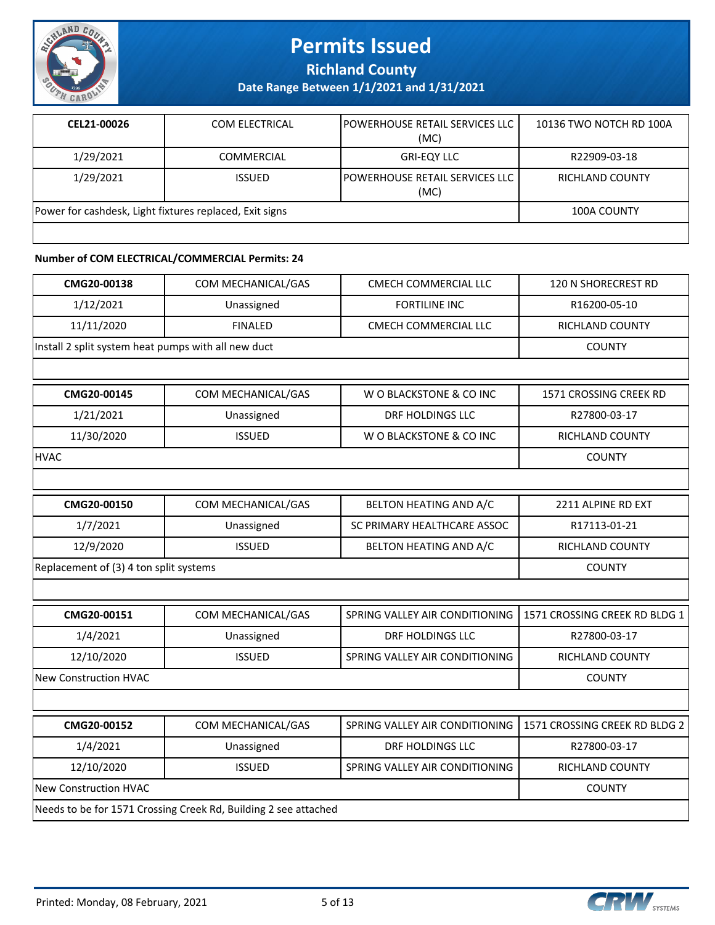

**Richland County**

**Date Range Between 1/1/2021 and 1/31/2021**

| CEL21-00026                                             | COM ELECTRICAL    | IPOWERHOUSE RETAIL SERVICES LLC<br>(MC) | 10136 TWO NOTCH RD 100A |
|---------------------------------------------------------|-------------------|-----------------------------------------|-------------------------|
| 1/29/2021                                               | <b>COMMERCIAL</b> | <b>GRI-EQY LLC</b>                      | R22909-03-18            |
| 1/29/2021                                               | <b>ISSUED</b>     | IPOWERHOUSE RETAIL SERVICES LLC<br>(MC) | RICHLAND COUNTY         |
| Power for cashdesk, Light fixtures replaced, Exit signs |                   |                                         | <b>100A COUNTY</b>      |
|                                                         |                   |                                         |                         |

#### **Number of COM ELECTRICAL/COMMERCIAL Permits: 24**

| CMG20-00138                                         | COM MECHANICAL/GAS | CMECH COMMERCIAL LLC | 120 N SHORECREST RD |
|-----------------------------------------------------|--------------------|----------------------|---------------------|
| 1/12/2021                                           | Unassigned         | <b>FORTILINE INC</b> | R16200-05-10        |
| 11/11/2020                                          | <b>FINALED</b>     | CMECH COMMERCIAL LLC | RICHLAND COUNTY     |
| Install 2 split system heat pumps with all new duct |                    |                      | <b>COUNTY</b>       |

| CMG20-00145 | COM MECHANICAL/GAS | W O BLACKSTONE & CO INC | 1571 CROSSING CREEK RD |
|-------------|--------------------|-------------------------|------------------------|
| 1/21/2021   | Unassigned         | DRF HOLDINGS LLC        | R27800-03-17           |
| 11/30/2020  | <b>ISSUED</b>      | W O BLACKSTONE & CO INC | RICHLAND COUNTY        |
| <b>HVAC</b> |                    |                         | <b>COUNTY</b>          |

| CMG20-00150                            | COM MECHANICAL/GAS | BELTON HEATING AND A/C      | 2211 ALPINE RD EXT     |
|----------------------------------------|--------------------|-----------------------------|------------------------|
| 1/7/2021                               | Unassigned         | SC PRIMARY HEALTHCARE ASSOC | R17113-01-21           |
| 12/9/2020                              | <b>ISSUED</b>      | BELTON HEATING AND A/C      | <b>RICHLAND COUNTY</b> |
| Replacement of (3) 4 ton split systems |                    |                             | <b>COUNTY</b>          |

| CMG20-00151<br>1/4/2021      | COM MECHANICAL/GAS<br>Unassigned | SPRING VALLEY AIR CONDITIONING   1571 CROSSING CREEK RD BLDG 1<br>DRF HOLDINGS LLC | R27800-03-17    |
|------------------------------|----------------------------------|------------------------------------------------------------------------------------|-----------------|
| 12/10/2020                   | <b>ISSUED</b>                    | SPRING VALLEY AIR CONDITIONING                                                     | RICHLAND COUNTY |
| <b>New Construction HVAC</b> |                                  |                                                                                    | <b>COUNTY</b>   |

| CMG20-00152                                                     | COM MECHANICAL/GAS | SPRING VALLEY AIR CONDITIONING   1571 CROSSING CREEK RD BLDG 2 |                        |
|-----------------------------------------------------------------|--------------------|----------------------------------------------------------------|------------------------|
| 1/4/2021                                                        | Unassigned         | DRF HOLDINGS LLC                                               | R27800-03-17           |
| 12/10/2020                                                      | <b>ISSUED</b>      | SPRING VALLEY AIR CONDITIONING                                 | <b>RICHLAND COUNTY</b> |
| <b>New Construction HVAC</b>                                    |                    |                                                                | <b>COUNTY</b>          |
| Needs to be for 1571 Crossing Creek Rd, Building 2 see attached |                    |                                                                |                        |

Printed: Monday, 08 February, 2021 5 5 of 13

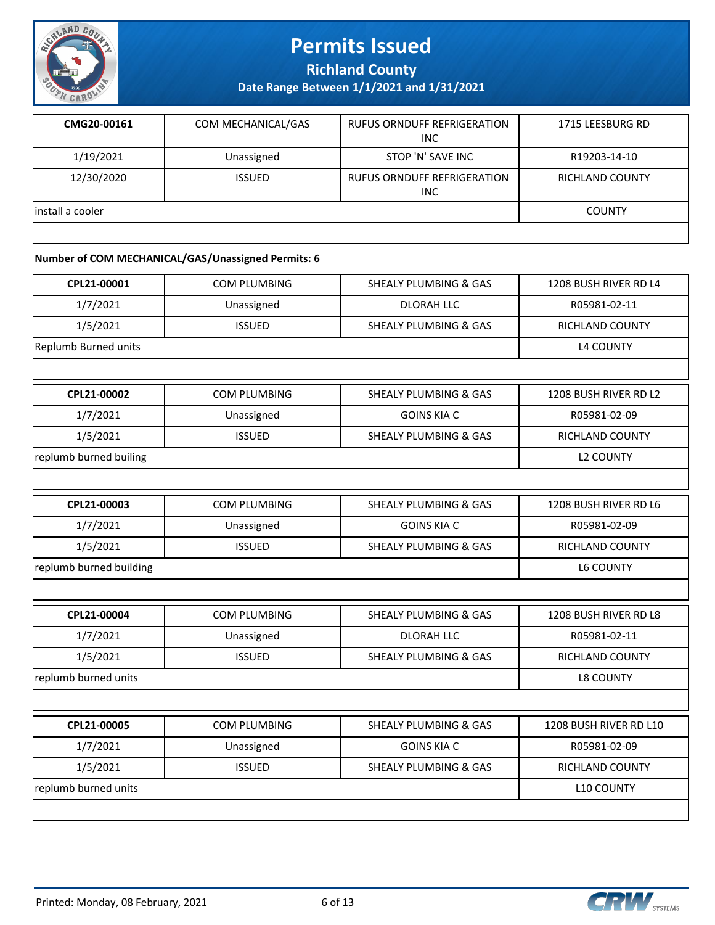

**Richland County**

**Date Range Between 1/1/2021 and 1/31/2021**

| CMG20-00161       | COM MECHANICAL/GAS | <b>RUFUS ORNDUFF REFRIGERATION</b><br><b>INC</b> | 1715 LEESBURG RD       |
|-------------------|--------------------|--------------------------------------------------|------------------------|
| 1/19/2021         | Unassigned         | STOP 'N' SAVE INC                                | R19203-14-10           |
| 12/30/2020        | <b>ISSUED</b>      | <b>RUFUS ORNDUFF REFRIGERATION</b><br>INC        | <b>RICHLAND COUNTY</b> |
| linstall a cooler |                    |                                                  | <b>COUNTY</b>          |
|                   |                    |                                                  |                        |

#### **Number of COM MECHANICAL/GAS/Unassigned Permits: 6**

| CPL21-00001             | <b>COM PLUMBING</b> | <b>SHEALY PLUMBING &amp; GAS</b> | 1208 BUSH RIVER RD L4  |
|-------------------------|---------------------|----------------------------------|------------------------|
| 1/7/2021                | Unassigned          | <b>DLORAH LLC</b>                | R05981-02-11           |
| 1/5/2021                | <b>ISSUED</b>       | <b>SHEALY PLUMBING &amp; GAS</b> | RICHLAND COUNTY        |
| Replumb Burned units    |                     |                                  | <b>L4 COUNTY</b>       |
|                         |                     |                                  |                        |
| CPL21-00002             | <b>COM PLUMBING</b> | <b>SHEALY PLUMBING &amp; GAS</b> | 1208 BUSH RIVER RD L2  |
| 1/7/2021                | Unassigned          | <b>GOINS KIA C</b>               | R05981-02-09           |
| 1/5/2021                | <b>ISSUED</b>       | <b>SHEALY PLUMBING &amp; GAS</b> | <b>RICHLAND COUNTY</b> |
| replumb burned builing  |                     |                                  | <b>L2 COUNTY</b>       |
|                         |                     |                                  |                        |
| CPL21-00003             | <b>COM PLUMBING</b> | <b>SHEALY PLUMBING &amp; GAS</b> | 1208 BUSH RIVER RD L6  |
| 1/7/2021                | Unassigned          | <b>GOINS KIA C</b>               | R05981-02-09           |
| 1/5/2021                | <b>ISSUED</b>       | <b>SHEALY PLUMBING &amp; GAS</b> | <b>RICHLAND COUNTY</b> |
| replumb burned building |                     |                                  | L6 COUNTY              |
|                         |                     |                                  |                        |
| CPL21-00004             | <b>COM PLUMBING</b> | <b>SHEALY PLUMBING &amp; GAS</b> | 1208 BUSH RIVER RD L8  |
| 1/7/2021                | Unassigned          | <b>DLORAH LLC</b>                | R05981-02-11           |
| 1/5/2021                | <b>ISSUED</b>       | <b>SHEALY PLUMBING &amp; GAS</b> | RICHLAND COUNTY        |
| replumb burned units    |                     |                                  | <b>L8 COUNTY</b>       |
|                         |                     |                                  |                        |
| CPL21-00005             | <b>COM PLUMBING</b> | <b>SHEALY PLUMBING &amp; GAS</b> | 1208 BUSH RIVER RD L10 |
| 1/7/2021                | Unassigned          | <b>GOINS KIA C</b>               | R05981-02-09           |
| 1/5/2021                | <b>ISSUED</b>       | <b>SHEALY PLUMBING &amp; GAS</b> | <b>RICHLAND COUNTY</b> |
| replumb burned units    | <b>L10 COUNTY</b>   |                                  |                        |
|                         |                     |                                  |                        |

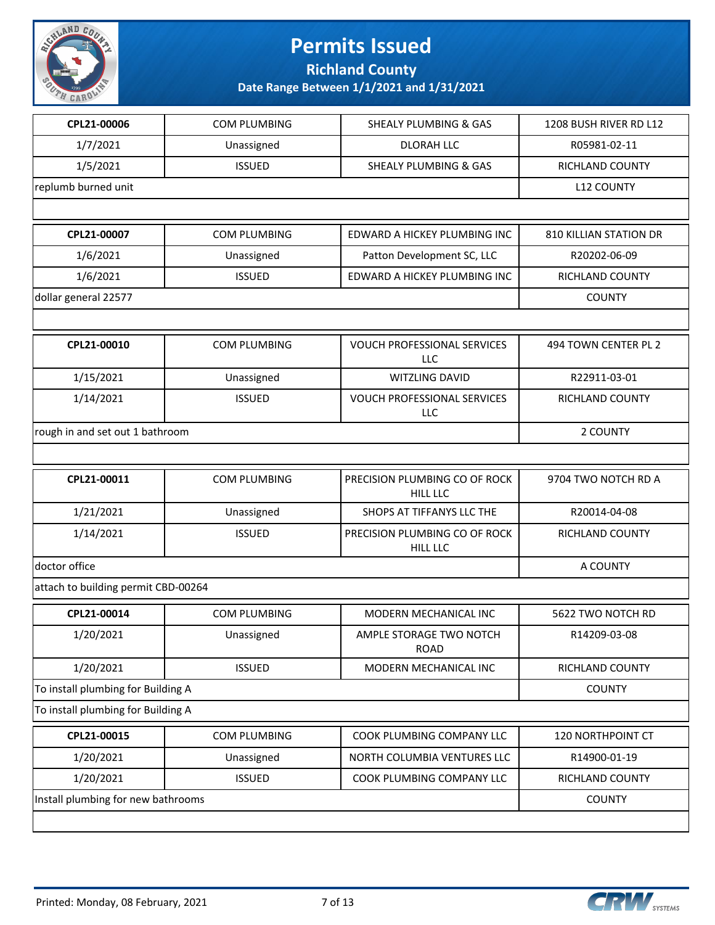

**Richland County**

| CPL21-00006                         | <b>COM PLUMBING</b> | <b>SHEALY PLUMBING &amp; GAS</b>                 | 1208 BUSH RIVER RD L12 |
|-------------------------------------|---------------------|--------------------------------------------------|------------------------|
| 1/7/2021                            | Unassigned          | <b>DLORAH LLC</b>                                | R05981-02-11           |
| 1/5/2021                            | <b>ISSUED</b>       | <b>SHEALY PLUMBING &amp; GAS</b>                 | <b>RICHLAND COUNTY</b> |
| replumb burned unit                 | <b>L12 COUNTY</b>   |                                                  |                        |
|                                     |                     |                                                  |                        |
| CPL21-00007                         | COM PLUMBING        | EDWARD A HICKEY PLUMBING INC                     | 810 KILLIAN STATION DR |
| 1/6/2021                            | Unassigned          | Patton Development SC, LLC                       | R20202-06-09           |
| 1/6/2021                            | <b>ISSUED</b>       | EDWARD A HICKEY PLUMBING INC                     | RICHLAND COUNTY        |
| dollar general 22577                |                     |                                                  | <b>COUNTY</b>          |
|                                     |                     |                                                  |                        |
| CPL21-00010                         | <b>COM PLUMBING</b> | <b>VOUCH PROFESSIONAL SERVICES</b><br>LLC        | 494 TOWN CENTER PL 2   |
| 1/15/2021                           | Unassigned          | WITZLING DAVID                                   | R22911-03-01           |
| 1/14/2021                           | <b>ISSUED</b>       | <b>VOUCH PROFESSIONAL SERVICES</b><br>LLC        | <b>RICHLAND COUNTY</b> |
| rough in and set out 1 bathroom     |                     |                                                  | 2 COUNTY               |
|                                     |                     |                                                  |                        |
| CPL21-00011                         | <b>COM PLUMBING</b> | PRECISION PLUMBING CO OF ROCK<br><b>HILL LLC</b> | 9704 TWO NOTCH RD A    |
| 1/21/2021                           | Unassigned          | SHOPS AT TIFFANYS LLC THE                        | R20014-04-08           |
| 1/14/2021                           | <b>ISSUED</b>       | PRECISION PLUMBING CO OF ROCK<br><b>HILL LLC</b> | <b>RICHLAND COUNTY</b> |
| doctor office                       |                     |                                                  | A COUNTY               |
| attach to building permit CBD-00264 |                     |                                                  |                        |
| CPL21-00014                         | <b>COM PLUMBING</b> | MODERN MECHANICAL INC                            | 5622 TWO NOTCH RD      |
| 1/20/2021                           | Unassigned          | AMPLE STORAGE TWO NOTCH<br><b>ROAD</b>           | R14209-03-08           |
| 1/20/2021                           | <b>ISSUED</b>       | MODERN MECHANICAL INC                            | <b>RICHLAND COUNTY</b> |
| To install plumbing for Building A  |                     |                                                  | <b>COUNTY</b>          |
| To install plumbing for Building A  |                     |                                                  |                        |
| CPL21-00015                         | <b>COM PLUMBING</b> | COOK PLUMBING COMPANY LLC                        | 120 NORTHPOINT CT      |
| 1/20/2021                           | Unassigned          | NORTH COLUMBIA VENTURES LLC                      | R14900-01-19           |
| 1/20/2021                           | <b>ISSUED</b>       | COOK PLUMBING COMPANY LLC                        | RICHLAND COUNTY        |
| Install plumbing for new bathrooms  |                     |                                                  | <b>COUNTY</b>          |
|                                     |                     |                                                  |                        |

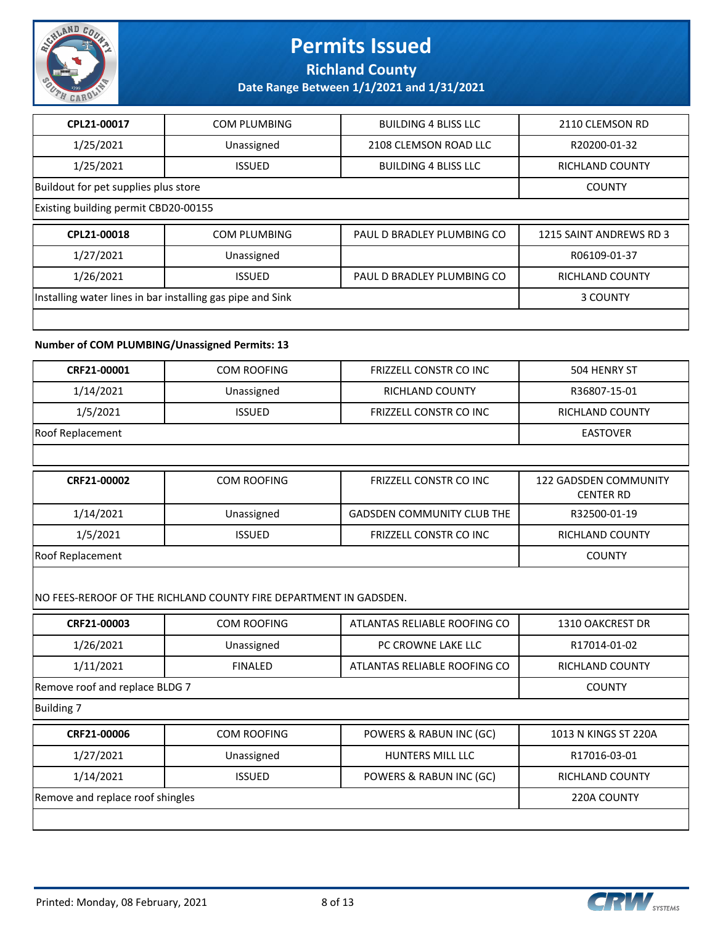

**Richland County**

**Date Range Between 1/1/2021 and 1/31/2021**

| CPL21-00017                          | <b>COM PLUMBING</b>                                        | <b>BUILDING 4 BLISS LLC</b> | 2110 CLEMSON RD         |  |
|--------------------------------------|------------------------------------------------------------|-----------------------------|-------------------------|--|
| 1/25/2021                            | Unassigned                                                 | 2108 CLEMSON ROAD LLC       | R20200-01-32            |  |
| 1/25/2021                            | <b>ISSUED</b>                                              | <b>BUILDING 4 BLISS LLC</b> | RICHLAND COUNTY         |  |
| Buildout for pet supplies plus store |                                                            |                             | <b>COUNTY</b>           |  |
| Existing building permit CBD20-00155 |                                                            |                             |                         |  |
|                                      |                                                            |                             |                         |  |
| CPL21-00018                          | <b>COM PLUMBING</b>                                        | PAUL D BRADLEY PLUMBING CO  | 1215 SAINT ANDREWS RD 3 |  |
| 1/27/2021                            | Unassigned                                                 |                             | R06109-01-37            |  |
| 1/26/2021                            | <b>ISSUED</b>                                              | PAUL D BRADLEY PLUMBING CO  | <b>RICHLAND COUNTY</b>  |  |
|                                      | Installing water lines in bar installing gas pipe and Sink |                             | 3 COUNTY                |  |

#### **Number of COM PLUMBING/Unassigned Permits: 13**

| CRF21-00001                      | <b>COM ROOFING</b>                                                | <b>FRIZZELL CONSTR CO INC.</b>    | 504 HENRY ST                              |
|----------------------------------|-------------------------------------------------------------------|-----------------------------------|-------------------------------------------|
| 1/14/2021                        | Unassigned                                                        | RICHLAND COUNTY                   | R36807-15-01                              |
| 1/5/2021                         | <b>ISSUED</b>                                                     | FRIZZELL CONSTR CO INC            | <b>RICHLAND COUNTY</b>                    |
| Roof Replacement                 |                                                                   |                                   | <b>EASTOVER</b>                           |
|                                  |                                                                   |                                   |                                           |
| CRF21-00002                      | <b>COM ROOFING</b>                                                | FRIZZELL CONSTR CO INC            | 122 GADSDEN COMMUNITY<br><b>CENTER RD</b> |
| 1/14/2021                        | Unassigned                                                        | <b>GADSDEN COMMUNITY CLUB THE</b> | R32500-01-19                              |
| 1/5/2021                         | <b>ISSUED</b>                                                     | FRIZZELL CONSTR CO INC            | <b>RICHLAND COUNTY</b>                    |
| Roof Replacement                 |                                                                   |                                   | <b>COUNTY</b>                             |
|                                  | NO FEES-REROOF OF THE RICHLAND COUNTY FIRE DEPARTMENT IN GADSDEN. |                                   |                                           |
| CRF21-00003                      | <b>COM ROOFING</b>                                                | ATLANTAS RELIABLE ROOFING CO      | 1310 OAKCREST DR                          |
| 1/26/2021                        | Unassigned                                                        | PC CROWNE LAKE LLC                | R17014-01-02                              |
| 1/11/2021                        | <b>FINALED</b>                                                    | ATLANTAS RELIABLE ROOFING CO      | <b>RICHLAND COUNTY</b>                    |
| Remove roof and replace BLDG 7   |                                                                   |                                   | <b>COUNTY</b>                             |
| <b>Building 7</b>                |                                                                   |                                   |                                           |
| CRF21-00006                      | <b>COM ROOFING</b>                                                | POWERS & RABUN INC (GC)           | 1013 N KINGS ST 220A                      |
| 1/27/2021                        | Unassigned                                                        | HUNTERS MILL LLC                  | R17016-03-01                              |
| 1/14/2021                        | <b>ISSUED</b>                                                     | POWERS & RABUN INC (GC)           | RICHLAND COUNTY                           |
| Remove and replace roof shingles |                                                                   |                                   | 220A COUNTY                               |
|                                  |                                                                   |                                   |                                           |
|                                  |                                                                   |                                   |                                           |

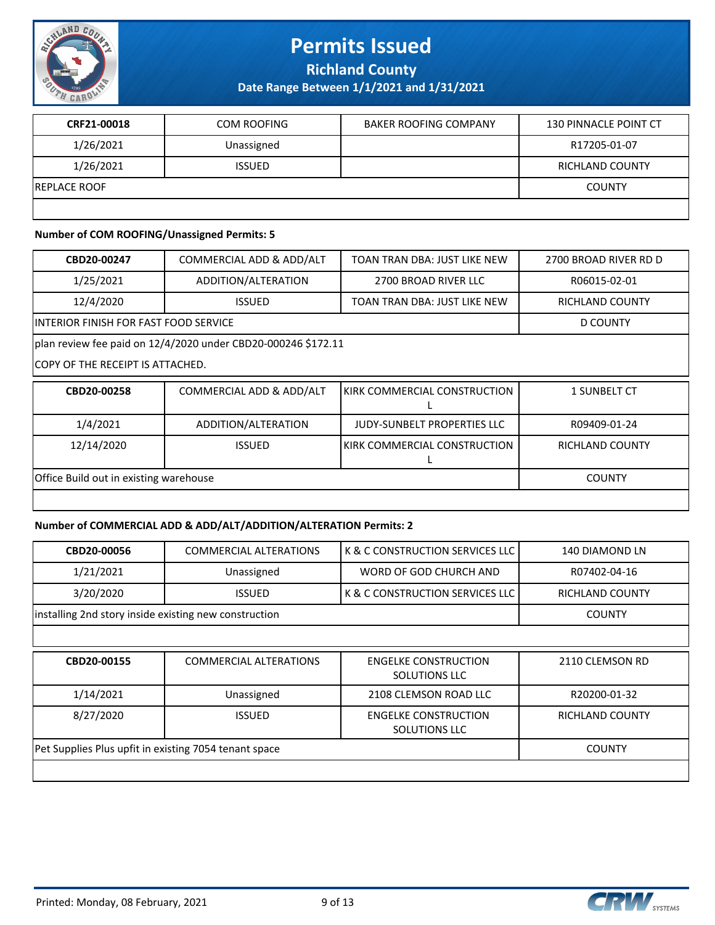

**Richland County**

**Date Range Between 1/1/2021 and 1/31/2021**

| CRF21-00018          | <b>COM ROOFING</b> | <b>BAKER ROOFING COMPANY</b> | 130 PINNACLE POINT CT |
|----------------------|--------------------|------------------------------|-----------------------|
| 1/26/2021            | Unassigned         |                              | R17205-01-07          |
| 1/26/2021            | <b>ISSUED</b>      |                              | RICHLAND COUNTY       |
| <b>IREPLACE ROOF</b> |                    |                              | <b>COUNTY</b>         |
|                      |                    |                              |                       |

#### **Number of COM ROOFING/Unassigned Permits: 5**

| CBD20-00247                            | COMMERCIAL ADD & ADD/ALT                                      | TOAN TRAN DBA: JUST LIKE NEW       | 2700 BROAD RIVER RD D |
|----------------------------------------|---------------------------------------------------------------|------------------------------------|-----------------------|
| 1/25/2021                              | ADDITION/ALTERATION                                           | 2700 BROAD RIVER LLC               | R06015-02-01          |
| 12/4/2020                              | <b>ISSUED</b>                                                 | TOAN TRAN DBA: JUST LIKE NEW       | RICHLAND COUNTY       |
| INTERIOR FINISH FOR FAST FOOD SERVICE  |                                                               |                                    | D COUNTY              |
|                                        | plan review fee paid on 12/4/2020 under CBD20-000246 \$172.11 |                                    |                       |
| COPY OF THE RECEIPT IS ATTACHED.       |                                                               |                                    |                       |
| CBD20-00258                            | COMMERCIAL ADD & ADD/ALT                                      | KIRK COMMERCIAL CONSTRUCTION       | 1 SUNBELT CT          |
| 1/4/2021                               | ADDITION/ALTERATION                                           | <b>JUDY-SUNBELT PROPERTIES LLC</b> | R09409-01-24          |
| 12/14/2020                             | <b>ISSUED</b>                                                 | KIRK COMMERCIAL CONSTRUCTION       | RICHLAND COUNTY       |
| Office Build out in existing warehouse | <b>COUNTY</b>                                                 |                                    |                       |
|                                        |                                                               |                                    |                       |

#### **Number of COMMERCIAL ADD & ADD/ALT/ADDITION/ALTERATION Permits: 2**

| CBD20-00056                                           | <b>COMMERCIAL ALTERATIONS</b> | K & C CONSTRUCTION SERVICES LLC     | 140 DIAMOND LN  |
|-------------------------------------------------------|-------------------------------|-------------------------------------|-----------------|
| 1/21/2021                                             | Unassigned                    | WORD OF GOD CHURCH AND              | R07402-04-16    |
| 3/20/2020                                             | <b>ISSUED</b>                 | l K & C CONSTRUCTION SERVICES LLC l | RICHLAND COUNTY |
| installing 2nd story inside existing new construction |                               |                                     | <b>COUNTY</b>   |
|                                                       |                               |                                     |                 |

| CBD20-00155                                           | <b>COMMERCIAL ALTERATIONS</b> | <b>ENGELKE CONSTRUCTION</b><br><b>SOLUTIONS LLC</b> | 2110 CLEMSON RD |
|-------------------------------------------------------|-------------------------------|-----------------------------------------------------|-----------------|
| 1/14/2021                                             | Unassigned                    | 2108 CLEMSON ROAD LLC                               | R20200-01-32    |
| 8/27/2020                                             | <b>ISSUED</b>                 | <b>ENGELKE CONSTRUCTION</b><br><b>SOLUTIONS LLC</b> | RICHLAND COUNTY |
| Pet Supplies Plus upfit in existing 7054 tenant space |                               |                                                     | <b>COUNTY</b>   |
|                                                       |                               |                                                     |                 |

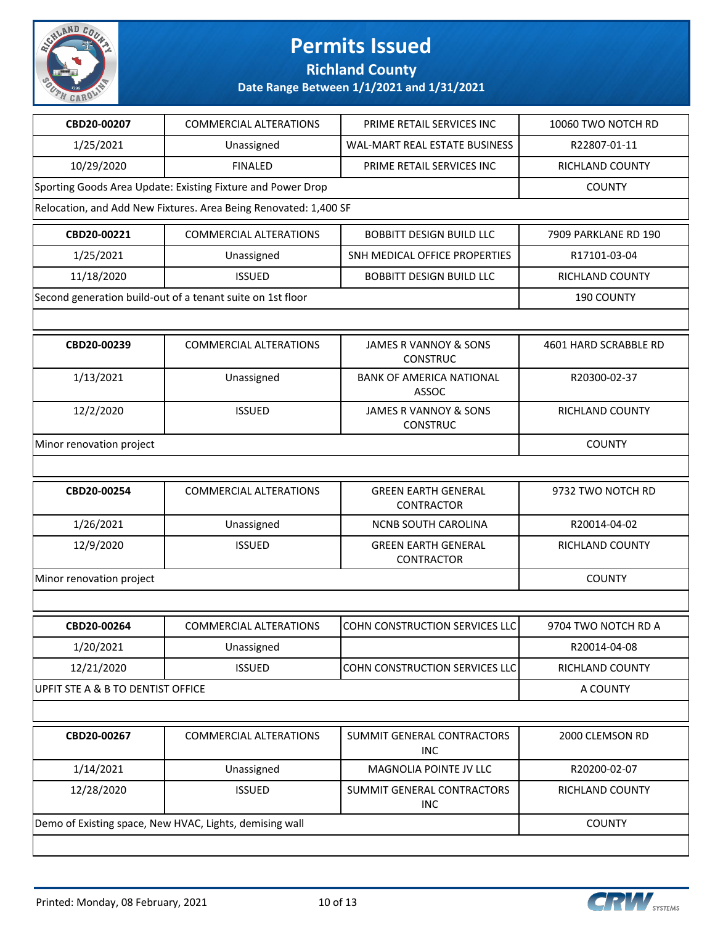

### **Richland County**

| CBD20-00207                                                 | <b>COMMERCIAL ALTERATIONS</b>                                    | PRIME RETAIL SERVICES INC                       | 10060 TWO NOTCH RD    |
|-------------------------------------------------------------|------------------------------------------------------------------|-------------------------------------------------|-----------------------|
| 1/25/2021                                                   | Unassigned                                                       | WAL-MART REAL ESTATE BUSINESS                   | R22807-01-11          |
| 10/29/2020                                                  | <b>FINALED</b>                                                   | PRIME RETAIL SERVICES INC                       | RICHLAND COUNTY       |
| Sporting Goods Area Update: Existing Fixture and Power Drop |                                                                  | <b>COUNTY</b>                                   |                       |
|                                                             | Relocation, and Add New Fixtures. Area Being Renovated: 1,400 SF |                                                 |                       |
| CBD20-00221                                                 | <b>COMMERCIAL ALTERATIONS</b>                                    | <b>BOBBITT DESIGN BUILD LLC</b>                 | 7909 PARKLANE RD 190  |
| 1/25/2021                                                   | Unassigned                                                       | SNH MEDICAL OFFICE PROPERTIES                   | R17101-03-04          |
| 11/18/2020                                                  | <b>ISSUED</b>                                                    | <b>BOBBITT DESIGN BUILD LLC</b>                 | RICHLAND COUNTY       |
|                                                             | Second generation build-out of a tenant suite on 1st floor       |                                                 | 190 COUNTY            |
|                                                             |                                                                  |                                                 |                       |
| CBD20-00239                                                 | <b>COMMERCIAL ALTERATIONS</b>                                    | JAMES R VANNOY & SONS<br><b>CONSTRUC</b>        | 4601 HARD SCRABBLE RD |
| 1/13/2021                                                   | Unassigned                                                       | <b>BANK OF AMERICA NATIONAL</b><br>ASSOC        | R20300-02-37          |
| 12/2/2020                                                   | <b>ISSUED</b>                                                    | JAMES R VANNOY & SONS<br><b>CONSTRUC</b>        | RICHLAND COUNTY       |
| Minor renovation project                                    |                                                                  |                                                 | <b>COUNTY</b>         |
|                                                             |                                                                  |                                                 |                       |
|                                                             |                                                                  |                                                 |                       |
| CBD20-00254                                                 | <b>COMMERCIAL ALTERATIONS</b>                                    | <b>GREEN EARTH GENERAL</b><br><b>CONTRACTOR</b> | 9732 TWO NOTCH RD     |
| 1/26/2021                                                   | Unassigned                                                       | NCNB SOUTH CAROLINA                             | R20014-04-02          |
| 12/9/2020                                                   | <b>ISSUED</b>                                                    | <b>GREEN EARTH GENERAL</b><br>CONTRACTOR        | RICHLAND COUNTY       |
| Minor renovation project                                    |                                                                  |                                                 | <b>COUNTY</b>         |
|                                                             |                                                                  |                                                 |                       |
| CBD20-00264                                                 | <b>COMMERCIAL ALTERATIONS</b>                                    | COHN CONSTRUCTION SERVICES LLC                  | 9704 TWO NOTCH RD A   |
| 1/20/2021                                                   | Unassigned                                                       |                                                 | R20014-04-08          |
| 12/21/2020                                                  | <b>ISSUED</b>                                                    | COHN CONSTRUCTION SERVICES LLC                  | RICHLAND COUNTY       |
| UPFIT STE A & B TO DENTIST OFFICE                           |                                                                  |                                                 | A COUNTY              |
|                                                             |                                                                  |                                                 |                       |
| CBD20-00267                                                 | <b>COMMERCIAL ALTERATIONS</b>                                    | SUMMIT GENERAL CONTRACTORS<br><b>INC</b>        | 2000 CLEMSON RD       |
| 1/14/2021                                                   | Unassigned                                                       | MAGNOLIA POINTE JV LLC                          | R20200-02-07          |
| 12/28/2020                                                  | <b>ISSUED</b>                                                    | SUMMIT GENERAL CONTRACTORS<br><b>INC</b>        | RICHLAND COUNTY       |
|                                                             | Demo of Existing space, New HVAC, Lights, demising wall          |                                                 | <b>COUNTY</b>         |

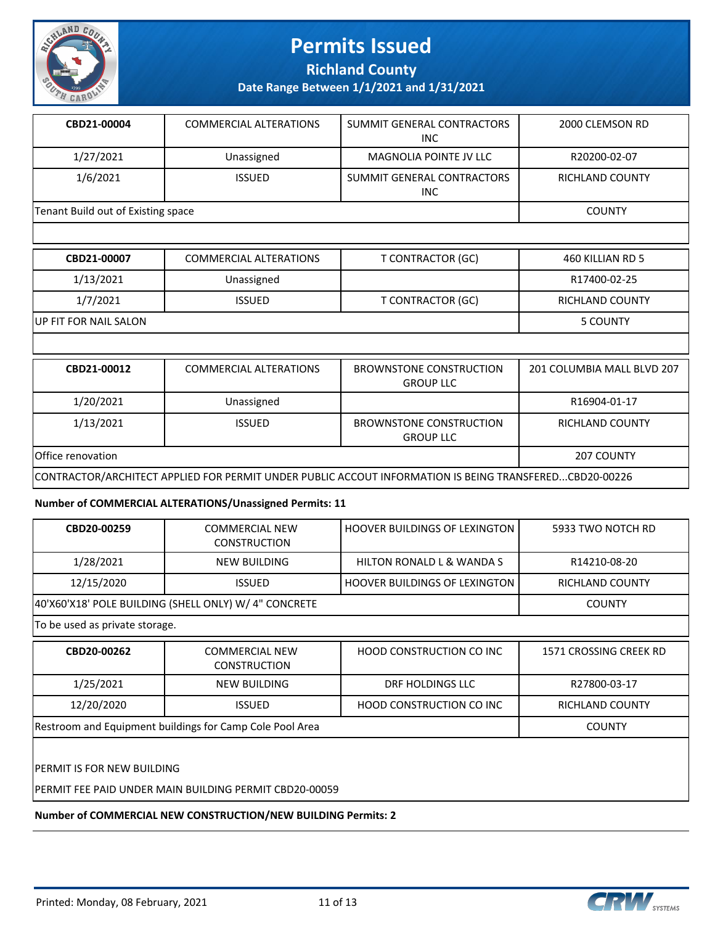

**Richland County**

**Date Range Between 1/1/2021 and 1/31/2021**

| CBD21-00004                        | COMMERCIAL ALTERATIONS | SUMMIT GENERAL CONTRACTORS<br><b>INC</b> | 2000 CLEMSON RD        |
|------------------------------------|------------------------|------------------------------------------|------------------------|
| 1/27/2021                          | Unassigned             | MAGNOLIA POINTE JV LLC                   | R20200-02-07           |
| 1/6/2021                           | <b>ISSUED</b>          | SUMMIT GENERAL CONTRACTORS<br><b>INC</b> | <b>RICHLAND COUNTY</b> |
| Tenant Build out of Existing space |                        |                                          | <b>COUNTY</b>          |

| CBD21-00007           | COMMERCIAL ALTERATIONS | T CONTRACTOR (GC) | 460 KILLIAN RD 5 |
|-----------------------|------------------------|-------------------|------------------|
| 1/13/2021             | Unassigned             |                   | R17400-02-25     |
| 1/7/2021              | <b>ISSUED</b>          | T CONTRACTOR (GC) | RICHLAND COUNTY  |
| UP FIT FOR NAIL SALON |                        |                   | 5 COUNTY         |
|                       |                        |                   |                  |

| CBD21-00012                                                                                            | COMMERCIAL ALTERATIONS | BROWNSTONE CONSTRUCTION<br><b>GROUP LLC</b> | 201 COLUMBIA MALL BLVD 207 |
|--------------------------------------------------------------------------------------------------------|------------------------|---------------------------------------------|----------------------------|
| 1/20/2021                                                                                              | Unassigned             |                                             | R16904-01-17               |
| 1/13/2021                                                                                              | <b>ISSUED</b>          | BROWNSTONE CONSTRUCTION<br><b>GROUP LLC</b> | RICHLAND COUNTY            |
| Office renovation                                                                                      |                        |                                             | 207 COUNTY                 |
| CONTRACTOR/ARCHITECT APPLIED FOR PERMIT UNDER PUBLIC ACCOUT INFORMATION IS BEING TRANSFEREDCBD20-00226 |                        |                                             |                            |

#### **Number of COMMERCIAL ALTERATIONS/Unassigned Permits: 11**

| CBD20-00259                                           | <b>COMMERCIAL NEW</b><br><b>CONSTRUCTION</b> | <b>HOOVER BUILDINGS OF LEXINGTON</b> | 5933 TWO NOTCH RD      |  |
|-------------------------------------------------------|----------------------------------------------|--------------------------------------|------------------------|--|
| 1/28/2021                                             | NEW BUILDING                                 | HILTON RONALD L & WANDA S            | R14210-08-20           |  |
| 12/15/2020                                            | <b>ISSUED</b>                                | <b>HOOVER BUILDINGS OF LEXINGTON</b> | RICHLAND COUNTY        |  |
| 40'X60'X18' POLE BUILDING (SHELL ONLY) W/ 4" CONCRETE |                                              |                                      | <b>COUNTY</b>          |  |
| To be used as private storage.                        |                                              |                                      |                        |  |
|                                                       |                                              |                                      |                        |  |
| CBD20-00262                                           | <b>COMMERCIAL NEW</b>                        | HOOD CONSTRUCTION CO INC             | 1571 CROSSING CREEK RD |  |

| JUDEV VVEVE                                              | CONTRILINGIAL INLIN<br><b>CONSTRUCTION</b> | TIUUD CUNJINUCTIUN CU INC       | <b>IJI LUUJJIINU CINLEN IND</b> |
|----------------------------------------------------------|--------------------------------------------|---------------------------------|---------------------------------|
| 1/25/2021                                                | NEW BUILDING                               | DRF HOLDINGS LLC                | R27800-03-17                    |
| 12/20/2020                                               | <b>ISSUED</b>                              | <b>HOOD CONSTRUCTION CO INC</b> | RICHLAND COUNTY                 |
| Restroom and Equipment buildings for Camp Cole Pool Area |                                            |                                 | <b>COUNTY</b>                   |
|                                                          |                                            |                                 |                                 |

PERMIT IS FOR NEW BUILDING

PERMIT FEE PAID UNDER MAIN BUILDING PERMIT CBD20-00059

**Number of COMMERCIAL NEW CONSTRUCTION/NEW BUILDING Permits: 2**

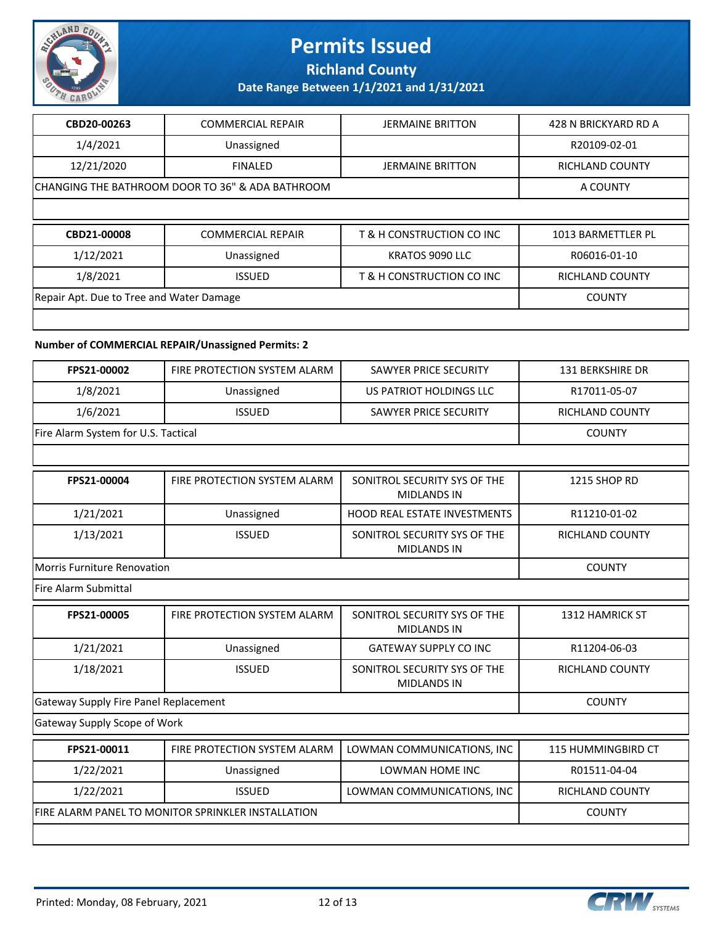

**Richland County**

**Date Range Between 1/1/2021 and 1/31/2021**

| CBD20-00263                                      | <b>COMMERCIAL REPAIR</b> | <b>JERMAINE BRITTON</b>   | 428 N BRICKYARD RD A   |
|--------------------------------------------------|--------------------------|---------------------------|------------------------|
| 1/4/2021                                         | Unassigned               |                           | R20109-02-01           |
| 12/21/2020                                       | <b>FINALED</b>           | <b>JERMAINE BRITTON</b>   | <b>RICHLAND COUNTY</b> |
| CHANGING THE BATHROOM DOOR TO 36" & ADA BATHROOM |                          |                           | A COUNTY               |
|                                                  |                          |                           |                        |
|                                                  |                          |                           |                        |
| CBD21-00008                                      | <b>COMMERCIAL REPAIR</b> | T & H CONSTRUCTION CO INC | 1013 BARMETTLER PL     |
| 1/12/2021                                        | Unassigned               | KRATOS 9090 LLC           | R06016-01-10           |
| 1/8/2021                                         | <b>ISSUED</b>            | T & H CONSTRUCTION CO INC | RICHLAND COUNTY        |
| Repair Apt. Due to Tree and Water Damage         |                          |                           | <b>COUNTY</b>          |

#### **Number of COMMERCIAL REPAIR/Unassigned Permits: 2**

| FPS21-00002                                        | FIRE PROTECTION SYSTEM ALARM | <b>SAWYER PRICE SECURITY</b>                       | <b>131 BERKSHIRE DR</b> |
|----------------------------------------------------|------------------------------|----------------------------------------------------|-------------------------|
| 1/8/2021                                           | Unassigned                   | US PATRIOT HOLDINGS LLC                            | R17011-05-07            |
| 1/6/2021                                           | <b>ISSUED</b>                | SAWYER PRICE SECURITY                              | RICHLAND COUNTY         |
| Fire Alarm System for U.S. Tactical                |                              |                                                    | <b>COUNTY</b>           |
|                                                    |                              |                                                    |                         |
| FPS21-00004                                        | FIRE PROTECTION SYSTEM ALARM | SONITROL SECURITY SYS OF THE<br><b>MIDLANDS IN</b> | 1215 SHOP RD            |
| 1/21/2021                                          | Unassigned                   | <b>HOOD REAL ESTATE INVESTMENTS</b>                | R11210-01-02            |
| 1/13/2021                                          | <b>ISSUED</b>                | SONITROL SECURITY SYS OF THE<br><b>MIDLANDS IN</b> | <b>RICHLAND COUNTY</b>  |
| Morris Furniture Renovation                        |                              |                                                    | <b>COUNTY</b>           |
| Fire Alarm Submittal                               |                              |                                                    |                         |
| FPS21-00005                                        | FIRE PROTECTION SYSTEM ALARM | SONITROL SECURITY SYS OF THE<br><b>MIDLANDS IN</b> | <b>1312 HAMRICK ST</b>  |
| 1/21/2021                                          | Unassigned                   | <b>GATEWAY SUPPLY CO INC</b>                       | R11204-06-03            |
| 1/18/2021                                          | <b>ISSUED</b>                | SONITROL SECURITY SYS OF THE<br><b>MIDLANDS IN</b> | <b>RICHLAND COUNTY</b>  |
| Gateway Supply Fire Panel Replacement              |                              |                                                    | <b>COUNTY</b>           |
| Gateway Supply Scope of Work                       |                              |                                                    |                         |
| FPS21-00011                                        | FIRE PROTECTION SYSTEM ALARM | LOWMAN COMMUNICATIONS, INC                         | 115 HUMMINGBIRD CT      |
| 1/22/2021                                          | Unassigned                   | LOWMAN HOME INC                                    | R01511-04-04            |
| 1/22/2021                                          | <b>ISSUED</b>                | LOWMAN COMMUNICATIONS, INC                         | <b>RICHLAND COUNTY</b>  |
| FIRE ALARM PANEL TO MONITOR SPRINKLER INSTALLATION |                              |                                                    | <b>COUNTY</b>           |
|                                                    |                              |                                                    |                         |